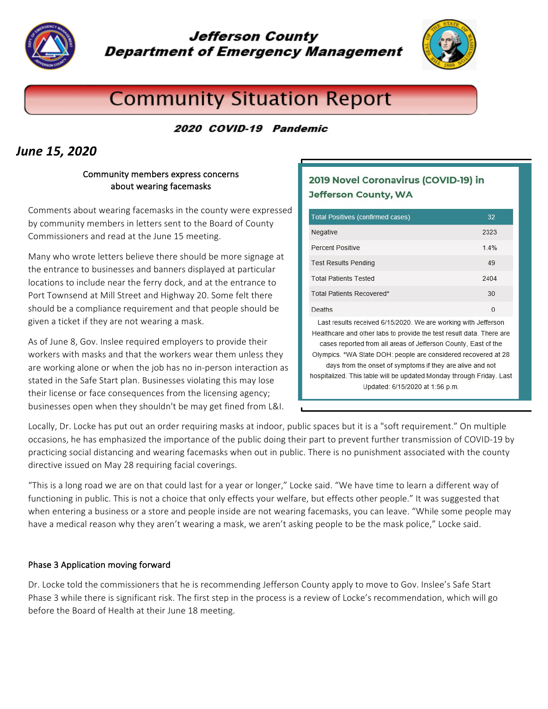

# Jefferson County **Department of Emergency Management**



# **Community Situation Report**

2020 COVID-19 Pandemic

# *June 15, 2020*

## Community members express concerns about wearing facemasks

Comments about wearing facemasks in the county were expressed by community members in letters sent to the Board of County Commissioners and read at the June 15 meeting.

Many who wrote letters believe there should be more signage at the entrance to businesses and banners displayed at particular locations to include near the ferry dock, and at the entrance to Port Townsend at Mill Street and Highway 20. Some felt there should be a compliance requirement and that people should be given a ticket if they are not wearing a mask.

As of June 8, Gov. Inslee required employers to provide their workers with masks and that the workers wear them unless they are working alone or when the job has no in-person interaction as stated in the Safe Start plan. Businesses violating this may lose their license or face consequences from the licensing agency; businesses open when they shouldn't be may get fined from L&I.

## 2019 Novel Coronavirus (COVID-19) in **Jefferson County, WA**

| Total Positives (confirmed cases)                              | 32   |
|----------------------------------------------------------------|------|
| Negative                                                       | 2323 |
| Percent Positive                                               | 1.4% |
| <b>Test Results Pending</b>                                    | 49   |
| <b>Total Patients Tested</b>                                   | 2404 |
| Total Patients Recovered*                                      | 30   |
| Deaths                                                         | 0    |
| Last results received 6/15/2020. We are working with Jefferson |      |

Healthcare and other labs to provide the test result data. There are cases reported from all areas of Jefferson County, East of the Olympics. \*WA State DOH: people are considered recovered at 28 days from the onset of symptoms if they are alive and not hospitalized. This table will be updated Monday through Friday. Last Updated: 6/15/2020 at 1:56 p.m.

Locally, Dr. Locke has put out an order requiring masks at indoor, public spaces but it is a "soft requirement." On multiple occasions, he has emphasized the importance of the public doing their part to prevent further transmission of COVID-19 by practicing social distancing and wearing facemasks when out in public. There is no punishment associated with the county directive issued on May 28 requiring facial coverings.

"This is a long road we are on that could last for a year or longer," Locke said. "We have time to learn a different way of functioning in public. This is not a choice that only effects your welfare, but effects other people." It was suggested that when entering a business or a store and people inside are not wearing facemasks, you can leave. "While some people may have a medical reason why they aren't wearing a mask, we aren't asking people to be the mask police," Locke said.

## Phase 3 Application moving forward

Dr. Locke told the commissioners that he is recommending Jefferson County apply to move to Gov. Inslee's Safe Start Phase 3 while there is significant risk. The first step in the process is a review of Locke's recommendation, which will go before the Board of Health at their June 18 meeting.